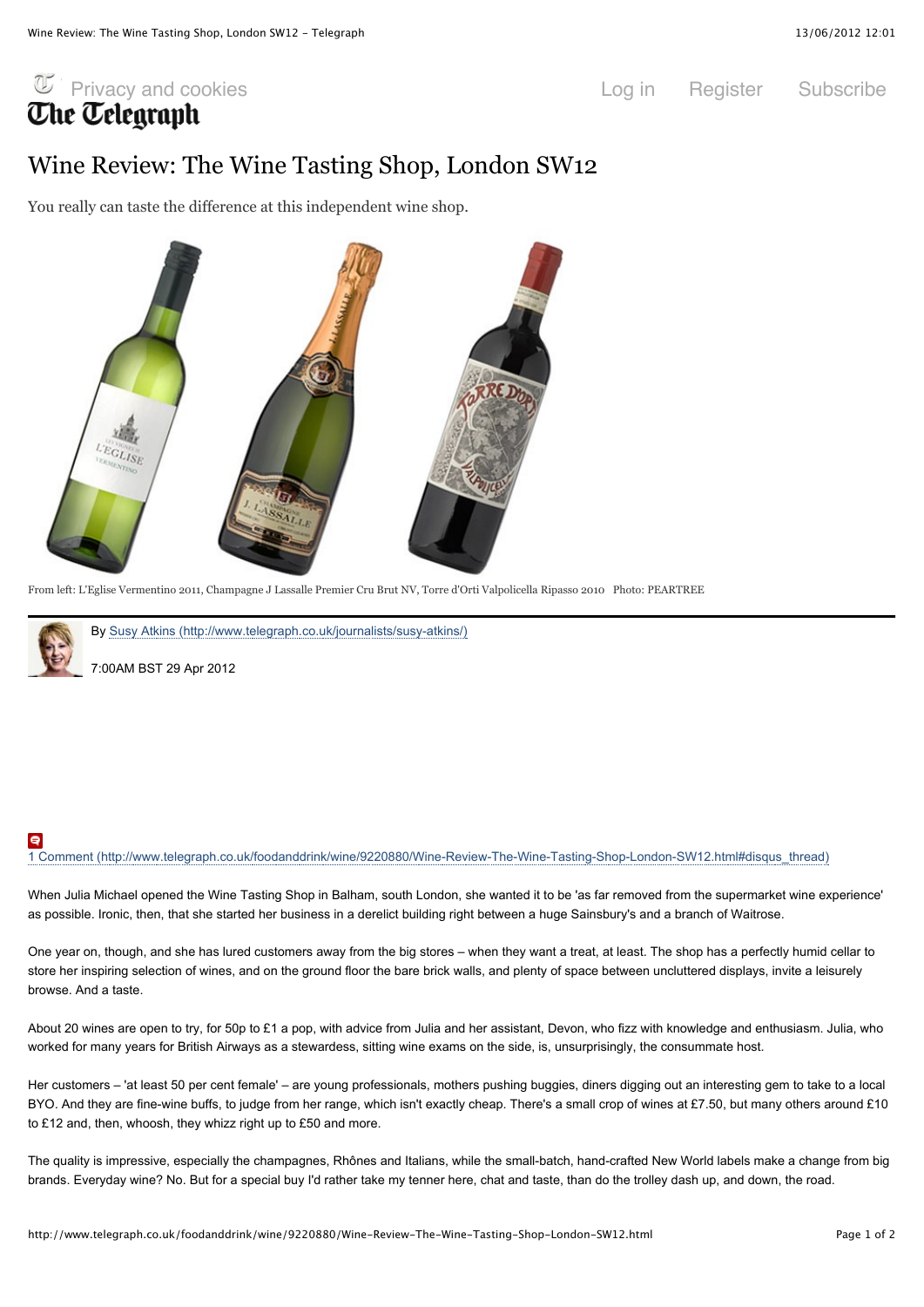# $\overline{\mathbb{C}}$  Privacy and cookies  $\overline{\mathbb{C}}$  Log in Register Subscribe **Che Celearaph**

### Wine Review: The Wine Tasting Shop, London SW12

You really can taste the difference at this independent wine shop.



From left: L'Eglise Vermentino 2011, Champagne J Lassalle Premier Cru Brut NV, Torre d'Orti Valpolicella Ripasso 2010 Photo: PEARTREE



By Susy Atkins (http://www.telegraph.co.uk/journalists/susy-atkins/)

7:00AM BST 29 Apr 2012

## 1 Comment (http://www.telegraph.co.uk/foodanddrink/wine/9220880/Wine-Review-The-Wine-Tasting-Shop-London-SW12.html#disqus\_thread)

When Julia Michael opened the Wine Tasting Shop in Balham, south London, she wanted it to be 'as far removed from the supermarket wine experience' as possible. Ironic, then, that she started her business in a derelict building right between a huge Sainsbury's and a branch of Waitrose.

One year on, though, and she has lured customers away from the big stores – when they want a treat, at least. The shop has a perfectly humid cellar to store her inspiring selection of wines, and on the ground floor the bare brick walls, and plenty of space between uncluttered displays, invite a leisurely browse. And a taste.

About 20 wines are open to try, for 50p to £1 a pop, with advice from Julia and her assistant, Devon, who fizz with knowledge and enthusiasm. Julia, who worked for many years for British Airways as a stewardess, sitting wine exams on the side, is, unsurprisingly, the consummate host.

Her customers – 'at least 50 per cent female' – are young professionals, mothers pushing buggies, diners digging out an interesting gem to take to a local BYO. And they are fine-wine buffs, to judge from her range, which isn't exactly cheap. There's a small crop of wines at £7.50, but many others around £10 to £12 and, then, whoosh, they whizz right up to £50 and more.

The quality is impressive, especially the champagnes, Rhônes and Italians, while the small-batch, hand-crafted New World labels make a change from big brands. Everyday wine? No. But for a special buy I'd rather take my tenner here, chat and taste, than do the trolley dash up, and down, the road.